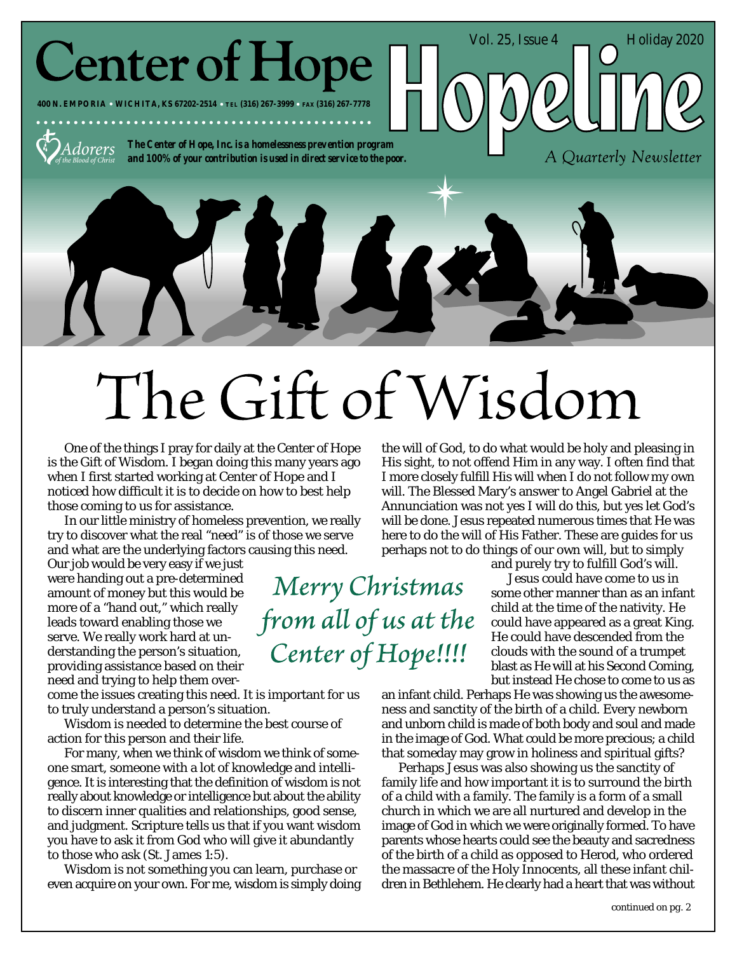**Center of Hope** 

**400 N. EMPORIA WICHITA, KS 67202-2514 TEL (316) 267-3999 FAX (316) 267-7778**



*The Center of Hope, Inc. is a homelessness prevention program and 100% of your contribution is used in direct service to the poor.*

# The Gift of Wisdom

Merry Christmas

from all of us at the

Center of Hope!!!!

One of the things I pray for daily at the Center of Hope is the Gift of Wisdom. I began doing this many years ago when I first started working at Center of Hope and I noticed how difficult it is to decide on how to best help those coming to us for assistance.

In our little ministry of homeless prevention, we really try to discover what the real "need" is of those we serve and what are the underlying factors causing this need.

Our job would be very easy if we just were handing out a pre-determined amount of money but this would be more of a "hand out," which really leads toward enabling those we serve. We really work hard at understanding the person's situation, providing assistance based on their need and trying to help them over-

come the issues creating this need. It is important for us to truly understand a person's situation.

Wisdom is needed to determine the best course of action for this person and their life.

For many, when we think of wisdom we think of someone smart, someone with a lot of knowledge and intelligence. It is interesting that the definition of wisdom is not really about knowledge or intelligence but about the ability to discern inner qualities and relationships, good sense, and judgment. Scripture tells us that if you want wisdom you have to ask it from God who will give it abundantly to those who ask (St. James 1:5).

Wisdom is not something you can learn, purchase or even acquire on your own. For me, wisdom is simply doing

the will of God, to do what would be holy and pleasing in His sight, to not offend Him in any way. I often find that I more closely fulfill His will when I do not follow my own will. The Blessed Mary's answer to Angel Gabriel at the Annunciation was not yes I will do this, but yes let God's will be done. Jesus repeated numerous times that He was here to do the will of His Father. These are guides for us perhaps not to do things of our own will, but to simply

and purely try to fulfill God's will.

Vol. 25, Issue  $4 \quad \boxed{\qquad}$  Holiday 2020

A Quarterly Newsletter

Jesus could have come to us in some other manner than as an infant child at the time of the nativity. He could have appeared as a great King. He could have descended from the clouds with the sound of a trumpet blast as He will at his Second Coming, but instead He chose to come to us as

an infant child. Perhaps He was showing us the awesomeness and sanctity of the birth of a child. Every newborn and unborn child is made of both body and soul and made in the image of God. What could be more precious; a child that someday may grow in holiness and spiritual gifts?

Perhaps Jesus was also showing us the sanctity of family life and how important it is to surround the birth of a child with a family. The family is a form of a small church in which we are all nurtured and develop in the image of God in which we were originally formed. To have parents whose hearts could see the beauty and sacredness of the birth of a child as opposed to Herod, who ordered the massacre of the Holy Innocents, all these infant children in Bethlehem. He clearly had a heart that was without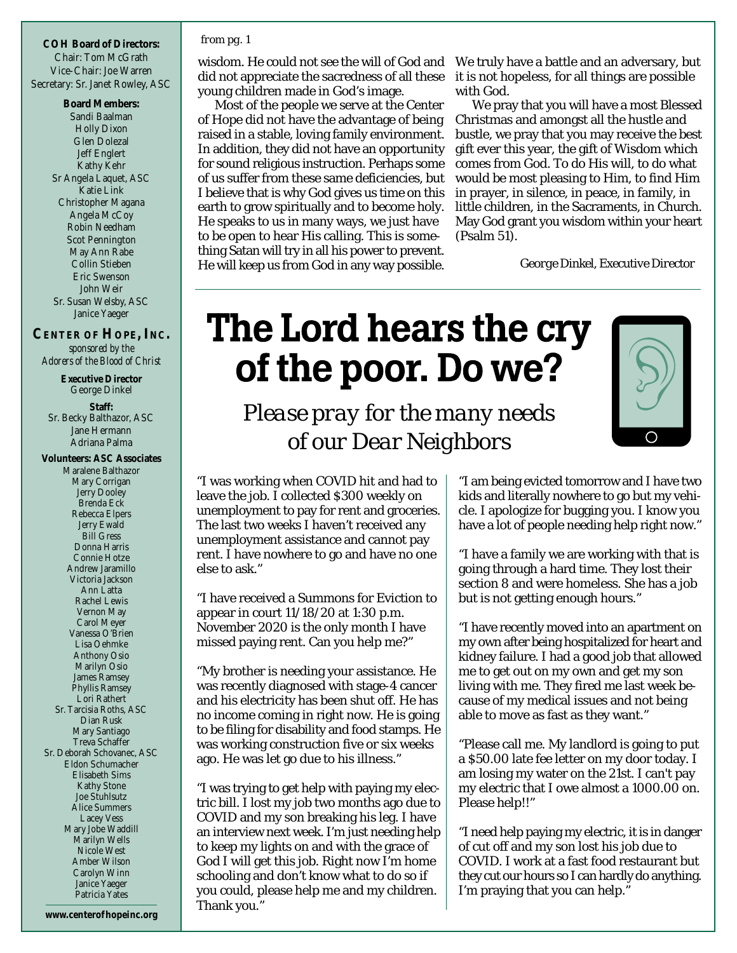**COH Board of Directors:** Chair: Tom McGrath Vice-Chair: Joe Warren Secretary: Sr. Janet Rowley, ASC

> **Board Members:** Sandi Baalman Holly Dixon Glen Dolezal Jeff Englert Kathy Kehr Sr Angela Laquet, ASC Katie Link Christopher Magana Angela McCoy Robin Needham Scot Pennington May Ann Rabe Collin Stieben Eric Swenson John Weir Sr. Susan Welsby, ASC Janice Yaeger

#### **CENTER OF HOPE, INC.** *sponsored by the Adorers of the Blood of Christ*

**Executive Director** George Dinkel

**Staff:** Sr. Becky Balthazor, ASC Jane Hermann Adriana Palma

**Volunteers: ASC Associates** Maralene Balthazor Mary Corrigan Jerry Dooley Brenda Eck Rebecca Elpers Jerry Ewald Bill Gress Donna Harris Connie Hotze Andrew Jaramillo Victoria Jackson Ann Latta Rachel Lewis Vernon May Carol Meyer Vanessa O'Brien Lisa Oehmke Anthony Osio Marilyn Osio James Ramsey Phyllis Ramsey Lori Rathert Sr. Tarcisia Roths, ASC Dian Rusk Mary Santiago Treva Schaffer Sr. Deborah Schovanec, ASC Eldon Schumacher Elisabeth Sims Kathy Stone Joe Stuhlsutz Alice Summers Lacey Vess Mary Jobe Waddill Marilyn Wells Nicole West Amber Wilson Carolyn Winn Janice Yaeger Patricia Yates

#### *from pg. 1*

wisdom. He could not see the will of God and We truly have a battle and an adversary, but did not appreciate the sacredness of all these young children made in God's image.

Most of the people we serve at the Center of Hope did not have the advantage of being raised in a stable, loving family environment. In addition, they did not have an opportunity for sound religious instruction. Perhaps some of us suffer from these same deficiencies, but I believe that is why God gives us time on this earth to grow spiritually and to become holy. He speaks to us in many ways, we just have to be open to hear His calling. This is something Satan will try in all his power to prevent. He will keep us from God in any way possible.

it is not hopeless, for all things are possible with God.

We pray that you will have a most Blessed Christmas and amongst all the hustle and bustle, we pray that you may receive the best gift ever this year, the gift of Wisdom which comes from God. To do His will, to do what would be most pleasing to Him, to find Him in prayer, in silence, in peace, in family, in little children, in the Sacraments, in Church. May God grant you wisdom within your heart (Psalm 51).

*George Dinkel, Executive Director*

# The Lord hears the cry of the poor. Do we?



*Please pray for the many needs of our Dear Neighbors*

"I was working when COVID hit and had to leave the job. I collected \$300 weekly on unemployment to pay for rent and groceries. The last two weeks I haven't received any unemployment assistance and cannot pay rent. I have nowhere to go and have no one else to ask."

"I have received a Summons for Eviction to appear in court 11/18/20 at 1:30 p.m. November 2020 is the only month I have missed paying rent. Can you help me?"

"My brother is needing your assistance. He was recently diagnosed with stage-4 cancer and his electricity has been shut off. He has no income coming in right now. He is going to be filing for disability and food stamps. He was working construction five or six weeks ago. He was let go due to his illness."

"I was trying to get help with paying my electric bill. I lost my job two months ago due to COVID and my son breaking his leg. I have an interview next week. I'm just needing help to keep my lights on and with the grace of God I will get this job. Right now I'm home schooling and don't know what to do so if you could, please help me and my children. Thank you."

"I am being evicted tomorrow and I have two kids and literally nowhere to go but my vehicle. I apologize for bugging you. I know you have a lot of people needing help right now."

"I have a family we are working with that is going through a hard time. They lost their section 8 and were homeless. She has a job but is not getting enough hours."

"I have recently moved into an apartment on my own after being hospitalized for heart and kidney failure. I had a good job that allowed me to get out on my own and get my son living with me. They fired me last week because of my medical issues and not being able to move as fast as they want."

"Please call me. My landlord is going to put a \$50.00 late fee letter on my door today. I am losing my water on the 21st. I can't pay my electric that I owe almost a 1000.00 on. Please help!!"

"I need help paying my electric, it is in danger of cut off and my son lost his job due to COVID. I work at a fast food restaurant but they cut our hours so I can hardly do anything. I'm praying that you can help."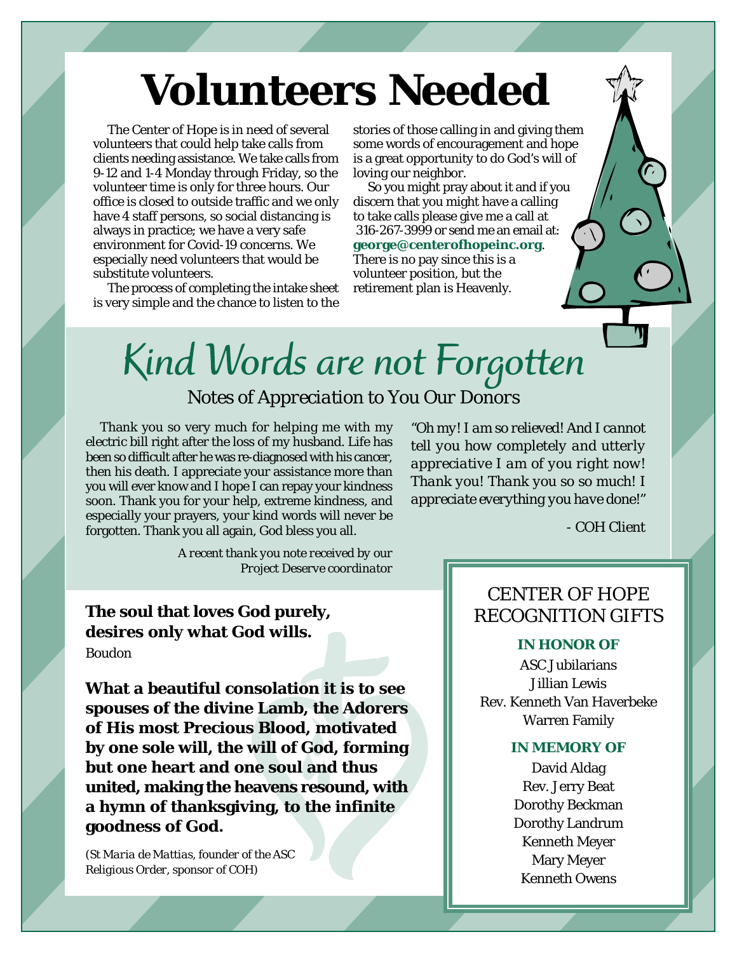# **Volunteers Needed**

The Center of Hope is in need of several volunteers that could help take calls from clients needing assistance. We take calls from 9-12 and 1-4 Monday through Friday, so the volunteer time is only for three hours. Our office is closed to outside traffic and we only have 4 staff persons, so social distancing is always in practice; we have a very safe environment for Covid-19 concerns. We especially need volunteers that would be substitute volunteers.

The process of completing the intake sheet is very simple and the chance to listen to the

stories of those calling in and giving them some words of encouragement and hope is a great opportunity to do God's will of loving our neighbor.

So you might pray about it and if you discern that you might have a calling to take calls please give me a call at 316-267-3999 or send me an email at: **george@centerofhopeinc.org**. There is no pay since this is a volunteer position, but the retirement plan is Heavenly.

# Kind Words are not Forgotten *Notes of Appreciation to You Our Donors*

Thank you so very much for helping me with my electric bill right after the loss of my husband. Life has been so difficult after he was re-diagnosed with his cancer, then his death. I appreciate your assistance more than you will ever know and I hope I can repay your kindness soon. Thank you for your help, extreme kindness, and especially your prayers, your kind words will never be forgotten. Thank you all again, God bless you all.

*"Oh my! I am so relieved! And I cannot tell you how completely and utterly appreciative I am of you right now! Thank you! Thank you so so much! I appreciate everything you have done!"*

*- COH Client*

*A recent thank you note received by our Project Deserve coordinator*

**The soul that loves God purely, desires only what God wills.** *Boudon*

**What a beautiful consolation it is to see spouses of the divine Lamb, the Adorers of His most Precious Blood, motivated by one sole will, the will of God, forming but one heart and one soul and thus united, making the heavens resound, with a hymn of thanksgiving, to the infinite goodness of God.**

*(St Maria de Mattias, founder of the ASC Religious Order, sponsor of COH)*

## CENTER OF HOPE RECOGNITION GIFTS

#### *IN HONOR OF*

ASC Jubilarians Jillian Lewis Rev. Kenneth Van Haverbeke Warren Family

#### *IN MEMORY OF*

David Aldag Rev. Jerry Beat Dorothy Beckman Dorothy Landrum Kenneth Meyer Mary Meyer Kenneth Owens